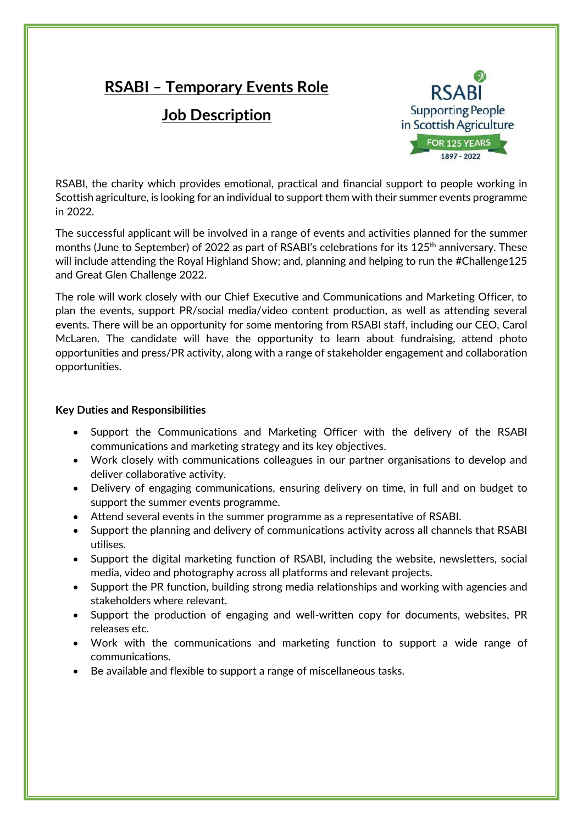# **RSABI – Temporary Events Role**

# **Job Description**



RSABI, the charity which provides emotional, practical and financial support to people working in Scottish agriculture, is looking for an individual to support them with their summer events programme in 2022.

The successful applicant will be involved in a range of events and activities planned for the summer months (June to September) of 2022 as part of RSABI's celebrations for its 125<sup>th</sup> anniversary. These will include attending the Royal Highland Show; and, planning and helping to run the #Challenge125 and Great Glen Challenge 2022.

The role will work closely with our Chief Executive and Communications and Marketing Officer, to plan the events, support PR/social media/video content production, as well as attending several events. There will be an opportunity for some mentoring from RSABI staff, including our CEO, Carol McLaren. The candidate will have the opportunity to learn about fundraising, attend photo opportunities and press/PR activity, along with a range of stakeholder engagement and collaboration opportunities.

## **Key Duties and Responsibilities**

- Support the Communications and Marketing Officer with the delivery of the RSABI communications and marketing strategy and its key objectives.
- Work closely with communications colleagues in our partner organisations to develop and deliver collaborative activity.
- Delivery of engaging communications, ensuring delivery on time, in full and on budget to support the summer events programme.
- Attend several events in the summer programme as a representative of RSABI.
- Support the planning and delivery of communications activity across all channels that RSABI utilises.
- Support the digital marketing function of RSABI, including the website, newsletters, social media, video and photography across all platforms and relevant projects.
- Support the PR function, building strong media relationships and working with agencies and stakeholders where relevant.
- Support the production of engaging and well-written copy for documents, websites, PR releases etc.
- Work with the communications and marketing function to support a wide range of communications.
- Be available and flexible to support a range of miscellaneous tasks.